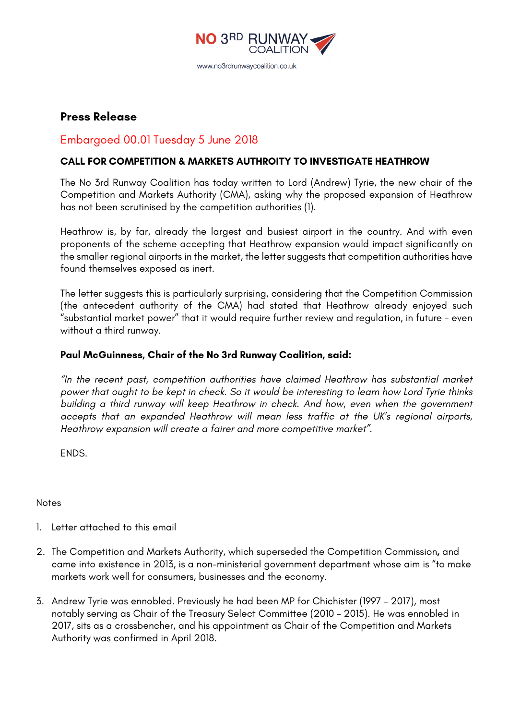

**Press Release**

## Embargoed 00.01 Tuesday 5 June 2018

## **CALL FOR COMPETITION & MARKETS AUTHROITY TO INVESTIGATE HEATHROW**

The No 3rd Runway Coalition has today written to Lord (Andrew) Tyrie, the new chair of the Competition and Markets Authority (CMA), asking why the proposed expansion of Heathrow has not been scrutinised by the competition authorities (1).

Heathrow is, by far, already the largest and busiest airport in the country. And with even proponents of the scheme accepting that Heathrow expansion would impact significantly on the smaller regional airports in the market, the letter suggests that competition authorities have found themselves exposed as inert.

The letter suggests this is particularly surprising, considering that the Competition Commission (the antecedent authority of the CMA) had stated that Heathrow already enjoyed such "substantial market power" that it would require further review and regulation, in future - even without a third runway.

## **Paul McGuinness, Chair of the No 3rd Runway Coalition, said:**

*"In the recent past, competition authorities have claimed Heathrow has substantial market power that ought to be kept in check. So it would be interesting to learn how Lord Tyrie thinks building a third runway will keep Heathrow in check. And how, even when the government accepts that an expanded Heathrow will mean less traffic at the UK's regional airports, Heathrow expansion will create a fairer and more competitive market".*

ENDS.

## Notes

- 1. Letter attached to this email
- 2. The Competition and Markets Authority, which superseded the Competition Commission**,** and came into existence in 2013, is a non-ministerial government department whose aim is "to make markets work well for consumers, businesses and the economy.
- 3. Andrew Tyrie was ennobled. Previously he had been MP for Chichister (1997 2017), most notably serving as Chair of the Treasury Select Committee (2010 – 2015). He was ennobled in 2017, sits as a crossbencher, and his appointment as Chair of the Competition and Markets Authority was confirmed in April 2018.